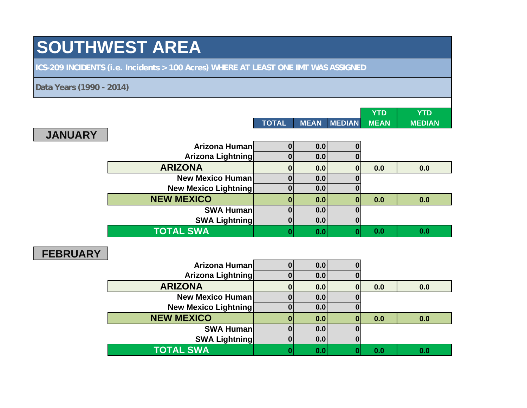# **SOUTHWEST AREA**

**ICS-209 INCIDENTS (i.e. Incidents > 100 Acres) WHERE AT LEAST ONE IMT WAS ASSIGNED**

**Data Years (1990 - 2014)**

**JANUARY**

|  |                        | YTD | YTD    |
|--|------------------------|-----|--------|
|  | TOTAL MEAN MEDIAN MEAN |     | MEDIAN |
|  |                        |     |        |

**N** 

| Arizona Human               | 0.0 |     |     |
|-----------------------------|-----|-----|-----|
| Arizona Lightning           | 0.0 |     |     |
| <b>ARIZONA</b>              | 0.0 | 0.0 | 0.0 |
| <b>New Mexico Human</b>     | 0.0 |     |     |
| <b>New Mexico Lightning</b> | 0.0 |     |     |
| <b>NEW MEXICO</b>           | 0.0 | 0.0 | 0.0 |
| <b>SWA Human</b>            | 0.0 |     |     |
| <b>SWA Lightning</b>        | 0.0 |     |     |
| <b>TOTAL SWA</b>            | 0.0 | 0.0 | 0.0 |

#### **FEBRUARY**

| Arizona Human               | 0.0 |     |     |
|-----------------------------|-----|-----|-----|
| Arizona Lightning           | 0.0 |     |     |
| <b>ARIZONA</b>              | 0.0 | 0.0 | 0.0 |
| <b>New Mexico Human</b>     | 0.0 |     |     |
| <b>New Mexico Lightning</b> | 0.0 |     |     |
| <b>NEW MEXICO</b>           | 0.0 | 0.0 | 0.0 |
| <b>SWA Human</b>            | 0.0 |     |     |
| <b>SWA Lightning</b>        | 0.0 |     |     |
| <b>TOTAL SWA</b>            | 0.0 | 0.0 | 0.0 |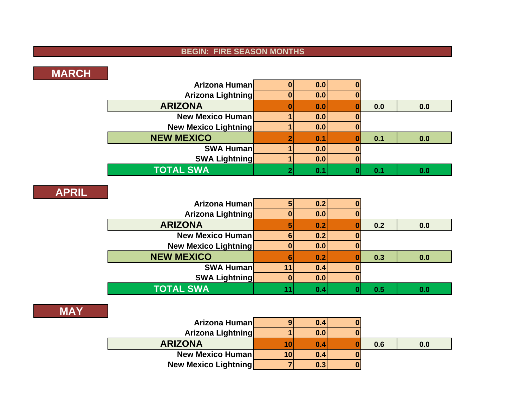### **BEGIN: FIRE SEASON MONTHS**

# **MARCH**

| Arizona Human               | 0.0 |     |     |
|-----------------------------|-----|-----|-----|
| Arizona Lightning           | 0.0 |     |     |
| <b>ARIZONA</b>              | 0.0 | 0.0 | 0.0 |
| <b>New Mexico Human</b>     | 0.0 |     |     |
| <b>New Mexico Lightning</b> | 0.0 |     |     |
| <b>NEW MEXICO</b>           | 0.1 | 0.1 | 0.0 |
| <b>SWA Human</b>            | 0.0 |     |     |
| <b>SWA Lightning</b>        | 0.0 |     |     |
| <b>TOTAL SWA</b>            | 0.1 |     | 0.0 |

#### **APRIL**

| and the state<br>Arizona Human | 0.2 |     |     |
|--------------------------------|-----|-----|-----|
| <b>Arizona Lightning</b>       | 0.0 |     |     |
| <b>ARIZONA</b>                 | 0.2 | 0.2 | 0.0 |
| <b>New Mexico Human</b>        | 0.2 |     |     |
| <b>New Mexico Lightning</b>    | 0.0 |     |     |
| <b>NEW MEXICO</b>              | 0.2 | 0.3 | 0.0 |
| <b>SWA Human</b>               | 0.4 |     |     |
| <b>SWA Lightning</b>           | 0.0 |     |     |
| <b>TOTAL SWA</b>               | 0.4 | 0.5 | 0.0 |

#### **MAY**

| Arizona Human               |    | 0.4 |     |     |
|-----------------------------|----|-----|-----|-----|
| <b>Arizona Lightning</b>    |    | 0.0 |     |     |
| <b>ARIZONA</b>              | 10 | 0.4 | 0.6 | 0.0 |
| <b>New Mexico Human</b>     | 10 | 0.4 |     |     |
| <b>New Mexico Lightning</b> |    | 0.3 |     |     |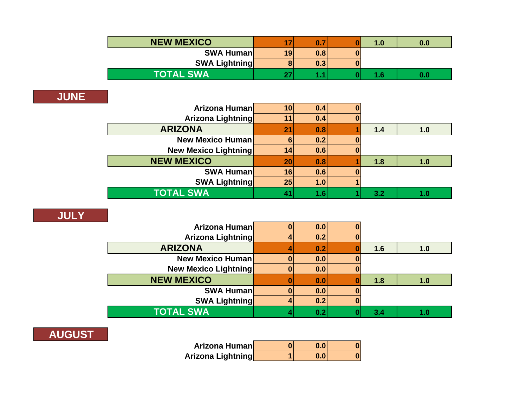| <b>NEW MEXICO</b>    |    | $\mathbf{0}$ . | 1.0 | 0.0 |
|----------------------|----|----------------|-----|-----|
| <b>SWA Human</b>     | 19 | 0.8            |     |     |
| <b>SWA Lightning</b> |    | 0.3            |     |     |
| <b>TOTAL SWA</b>     |    |                | 1.6 | 0.0 |

## **JUNE**

| Arizona Human               | 10             | 0.4 |     |     |
|-----------------------------|----------------|-----|-----|-----|
| Arizona Lightning           |                | 0.4 |     |     |
| <b>ARIZONA</b>              | 2 <sup>1</sup> | 0.8 | 1.4 | 1.0 |
| <b>New Mexico Human</b>     |                | 0.2 |     |     |
| <b>New Mexico Lightning</b> |                | 0.6 |     |     |
| <b>NEW MEXICO</b>           | 20             | 0.8 | 1.8 | 1.0 |
| <b>SWA Human</b>            | 16             | 0.6 |     |     |
| <b>SWA Lightning</b>        | 25             | 1.0 |     |     |
| <b>TOTAL SWA</b>            |                | 1.6 | 3.2 | 1.0 |

## **JULY**

| Arizona Human               | 0.0 |     |     |
|-----------------------------|-----|-----|-----|
| Arizona Lightning           | 0.2 |     |     |
| <b>ARIZONA</b>              | 0.2 | 1.6 | 1.0 |
| <b>New Mexico Human</b>     | 0.0 |     |     |
| <b>New Mexico Lightning</b> | 0.0 |     |     |
| <b>NEW MEXICO</b>           | 0.0 | 1.8 | 1.0 |
| <b>SWA Human</b>            | 0.0 |     |     |
| <b>SWA Lightning</b>        | 0.2 |     |     |
| <b>TOTAL SWA</b>            | 0.2 | 3.4 |     |

# **AUGUST**

| Arizona Human            | 0.01 |  |
|--------------------------|------|--|
| <b>Arizona Lightning</b> | 0.01 |  |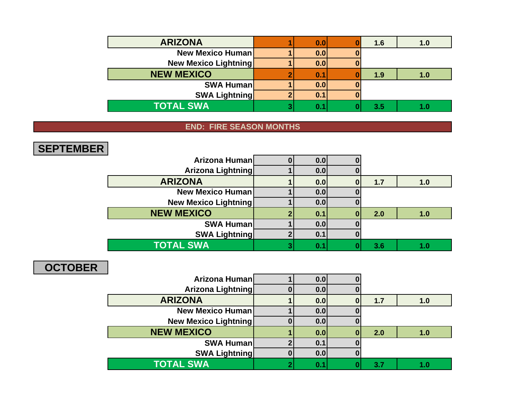| <b>ARIZONA</b>              | 0.0 | 1.6 | 1.0 |
|-----------------------------|-----|-----|-----|
| <b>New Mexico Human</b>     | 0.0 |     |     |
| <b>New Mexico Lightning</b> | 0.0 |     |     |
| <b>NEW MEXICO</b>           | 0.1 | 1.9 | 1.0 |
| <b>SWA Human</b>            | 0.0 |     |     |
| <b>SWA Lightning</b>        | 0.1 |     |     |
| <b>TOTAL SWA</b>            | 0.1 | 3.5 |     |

### **END: FIRE SEASON MONTHS**

## **SEPTEMBER**

| Arizona Human               | 0.0 |     |     |
|-----------------------------|-----|-----|-----|
| <b>Arizona Lightning</b>    | 0.0 |     |     |
| <b>ARIZONA</b>              | 0.0 | 1.7 | 1.0 |
| <b>New Mexico Human</b>     | 0.0 |     |     |
| <b>New Mexico Lightning</b> | 0.0 |     |     |
| <b>NEW MEXICO</b>           | 0.1 | 2.0 | 1.0 |
| <b>SWA Human</b>            | 0.0 |     |     |
| <b>SWA Lightning</b>        | 0.1 |     |     |
| <b>TOTAL SWA</b>            | 0.  | 3.6 |     |

## **OCTOBER**

| Arizona Human               | 0.0 |     |     |
|-----------------------------|-----|-----|-----|
| Arizona Lightning           | 0.0 |     |     |
| <b>ARIZONA</b>              | 0.0 | 1.7 | 1.0 |
| <b>New Mexico Human</b>     | 0.0 |     |     |
| <b>New Mexico Lightning</b> | 0.0 |     |     |
| <b>NEW MEXICO</b>           | 0.0 | 2.0 | 1.0 |
| <b>SWA Human</b>            | 0.1 |     |     |
| <b>SWA Lightning</b>        | 0.0 |     |     |
| <b>TOTAL SWA</b>            | 0.1 | 3.7 | 1.0 |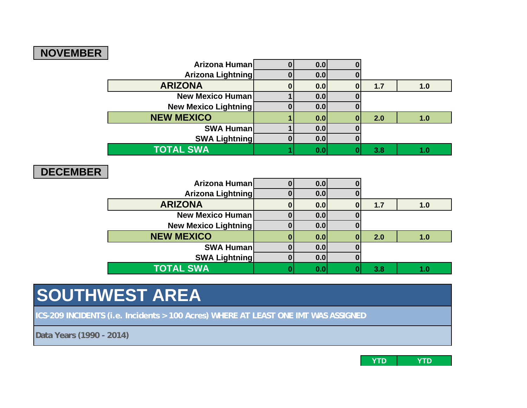# **NOVEMBER**

| $\sim$<br>Arizona Human     | 0.0 |     |     |
|-----------------------------|-----|-----|-----|
| <b>Arizona Lightning</b>    | 0.0 |     |     |
| <b>ARIZONA</b>              | 0.0 | 1.7 | 1.0 |
| <b>New Mexico Human</b>     | 0.0 |     |     |
| <b>New Mexico Lightning</b> | 0.0 |     |     |
| <b>NEW MEXICO</b>           | 0.0 | 2.0 | 1.0 |
| <b>SWA Human</b>            | 0.0 |     |     |
| <b>SWA Lightning</b>        | 0.0 |     |     |
| <b>TOTAL SWA</b>            | 0.0 | 3.8 |     |

#### **DECEMBER**

| Arizona Human               | 0.0 |     |     |
|-----------------------------|-----|-----|-----|
| Arizona Lightning           | 0.0 |     |     |
| <b>ARIZONA</b>              | 0.0 | 1.7 | 1.0 |
| <b>New Mexico Human</b>     | 0.0 |     |     |
| <b>New Mexico Lightning</b> | 0.0 |     |     |
| <b>NEW MEXICO</b>           | 0.0 | 2.0 | 1.0 |
| <b>SWA Human</b>            | 0.0 |     |     |
| <b>SWA Lightning</b>        | 0.0 |     |     |
| <b>TOTAL SWA</b>            | 0.0 | 3.8 | 1.0 |

# **SOUTHWEST AREA**

**ICS-209 INCIDENTS (i.e. Incidents > 100 Acres) WHERE AT LEAST ONE IMT WAS ASSIGNED**

**Data Years (1990 - 2014)**